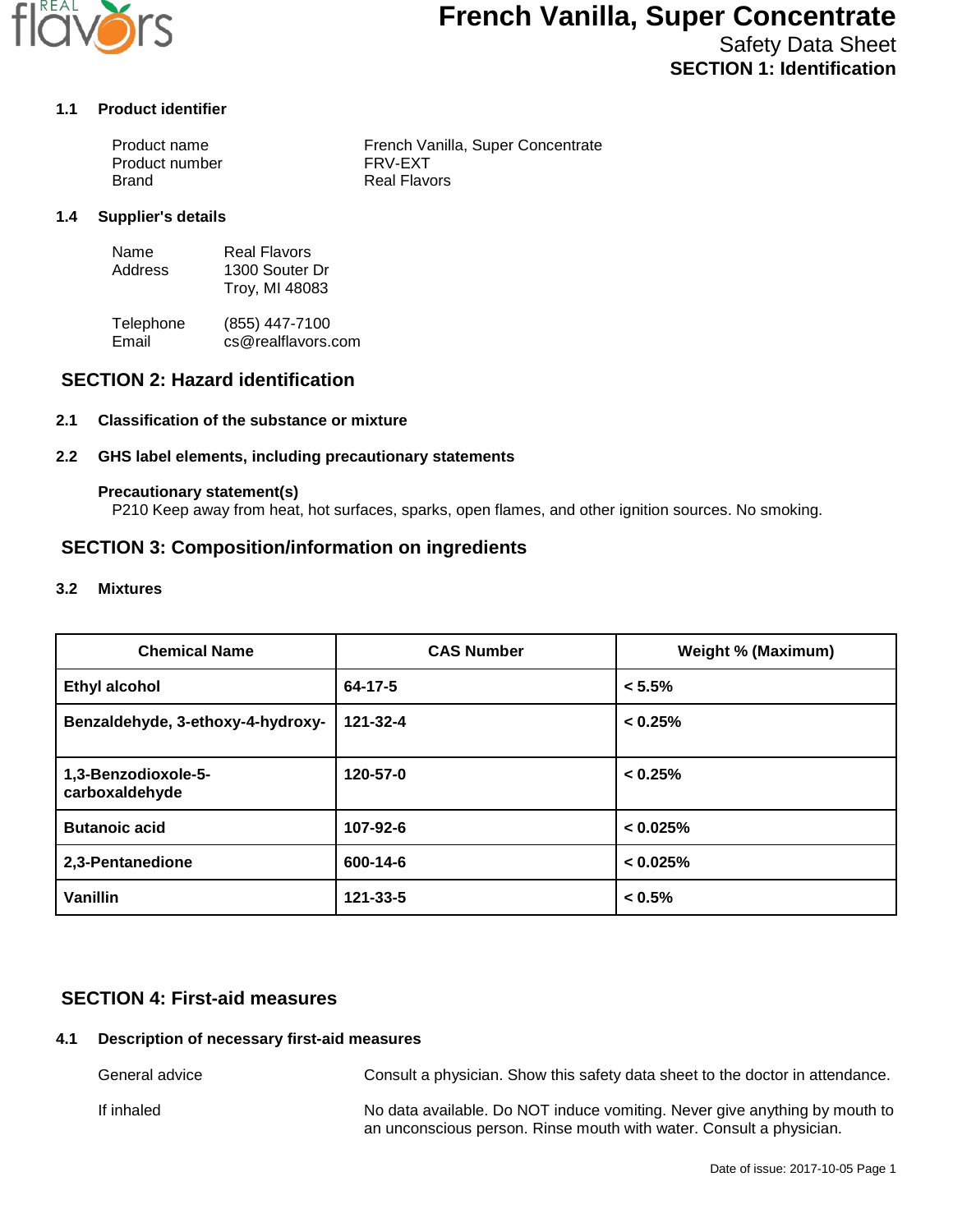

# **French Vanilla, Super Concentrate**

Safety Data Sheet **SECTION 1: Identification**

#### **1.1 Product identifier**

| Product name   | French Vanilla, Super Concentrate |
|----------------|-----------------------------------|
| Product number | FRV-EXT                           |
| Brand          | Real Flavors                      |

#### **1.4 Supplier's details**

| Name    | <b>Real Flavors</b> |
|---------|---------------------|
| Address | 1300 Souter Dr      |
|         | Troy, MI 48083      |

Telephone (855) 447-7100<br>Email cs@realflavors. cs@realflavors.com

# **SECTION 2: Hazard identification**

## **2.1 Classification of the substance or mixture**

### **2.2 GHS label elements, including precautionary statements**

#### **Precautionary statement(s)**

P210 Keep away from heat, hot surfaces, sparks, open flames, and other ignition sources. No smoking.

## **SECTION 3: Composition/information on ingredients**

#### **3.2 Mixtures**

| <b>Chemical Name</b>                  | <b>CAS Number</b> | <b>Weight % (Maximum)</b> |
|---------------------------------------|-------------------|---------------------------|
| <b>Ethyl alcohol</b>                  | 64-17-5           | $< 5.5\%$                 |
| Benzaldehyde, 3-ethoxy-4-hydroxy-     | 121-32-4          | < 0.25%                   |
| 1,3-Benzodioxole-5-<br>carboxaldehyde | 120-57-0          | < 0.25%                   |
| <b>Butanoic acid</b>                  | 107-92-6          | < 0.025%                  |
| 2,3-Pentanedione                      | 600-14-6          | < 0.025%                  |
| Vanillin                              | 121-33-5          | $< 0.5\%$                 |

# **SECTION 4: First-aid measures**

### **4.1 Description of necessary first-aid measures**

General advice **Consult a physician.** Show this safety data sheet to the doctor in attendance. If inhaled **No data available. Do NOT induce vomiting. Never give anything by mouth to** an unconscious person. Rinse mouth with water. Consult a physician.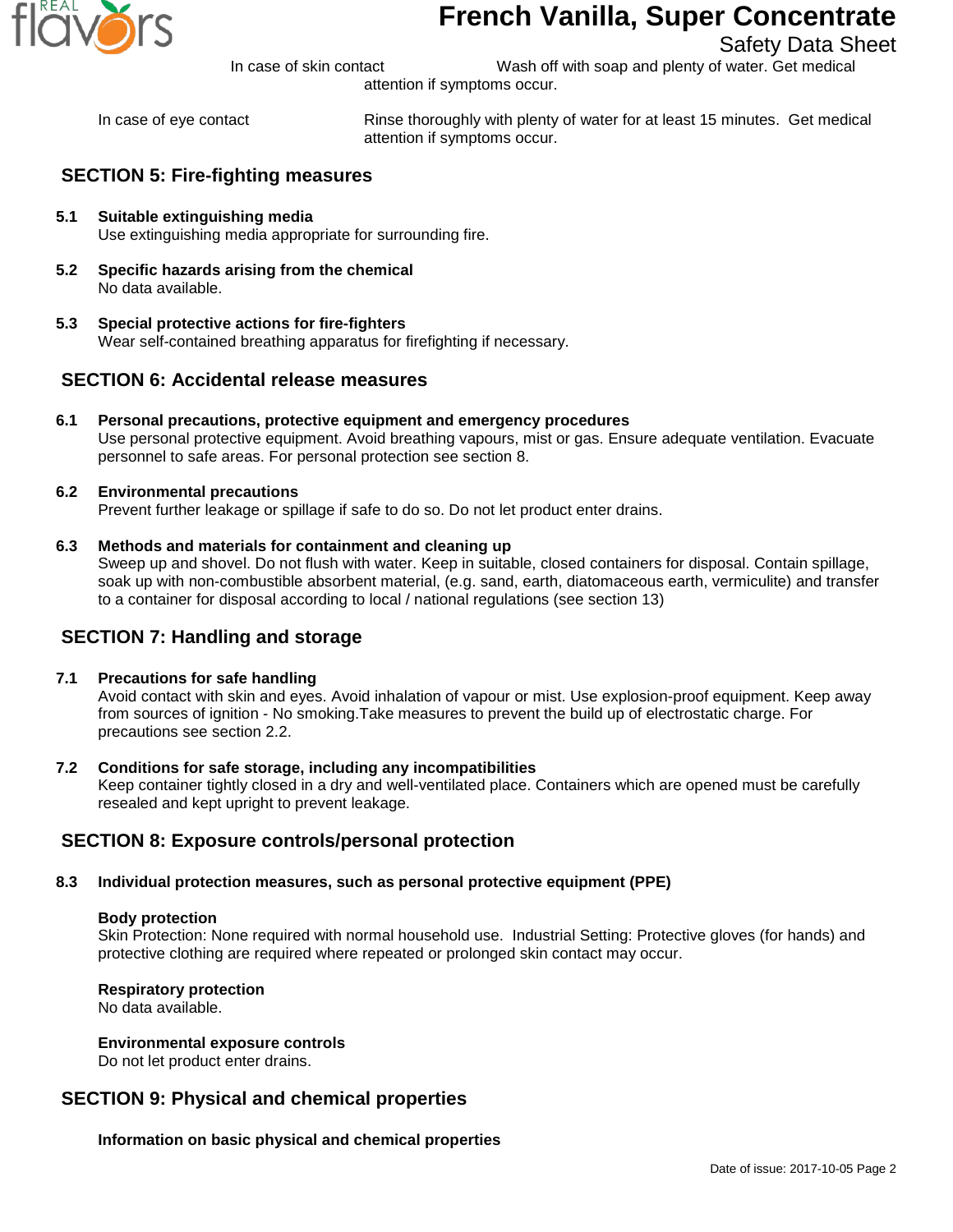

# **French Vanilla, Super Concentrate**

Safety Data Sheet

In case of skin contact Wash off with soap and plenty of water. Get medical

attention if symptoms occur.

In case of eye contact Rinse thoroughly with plenty of water for at least 15 minutes. Get medical attention if symptoms occur.

# **SECTION 5: Fire-fighting measures**

- **5.1 Suitable extinguishing media** Use extinguishing media appropriate for surrounding fire.
- **5.2 Specific hazards arising from the chemical** No data available.
- **5.3 Special protective actions for fire-fighters** Wear self-contained breathing apparatus for firefighting if necessary.

# **SECTION 6: Accidental release measures**

- **6.1 Personal precautions, protective equipment and emergency procedures** Use personal protective equipment. Avoid breathing vapours, mist or gas. Ensure adequate ventilation. Evacuate personnel to safe areas. For personal protection see section 8.
- **6.2 Environmental precautions** Prevent further leakage or spillage if safe to do so. Do not let product enter drains.
- **6.3 Methods and materials for containment and cleaning up**

Sweep up and shovel. Do not flush with water. Keep in suitable, closed containers for disposal. Contain spillage, soak up with non-combustible absorbent material, (e.g. sand, earth, diatomaceous earth, vermiculite) and transfer to a container for disposal according to local / national regulations (see section 13)

# **SECTION 7: Handling and storage**

### **7.1 Precautions for safe handling**

Avoid contact with skin and eyes. Avoid inhalation of vapour or mist. Use explosion-proof equipment. Keep away from sources of ignition - No smoking.Take measures to prevent the build up of electrostatic charge. For precautions see section 2.2.

### **7.2 Conditions for safe storage, including any incompatibilities**

Keep container tightly closed in a dry and well-ventilated place. Containers which are opened must be carefully resealed and kept upright to prevent leakage.

# **SECTION 8: Exposure controls/personal protection**

## **8.3 Individual protection measures, such as personal protective equipment (PPE)**

#### **Body protection**

Skin Protection: None required with normal household use. Industrial Setting: Protective gloves (for hands) and protective clothing are required where repeated or prolonged skin contact may occur.

#### **Respiratory protection**

No data available.

#### **Environmental exposure controls**

Do not let product enter drains.

# **SECTION 9: Physical and chemical properties**

**Information on basic physical and chemical properties**